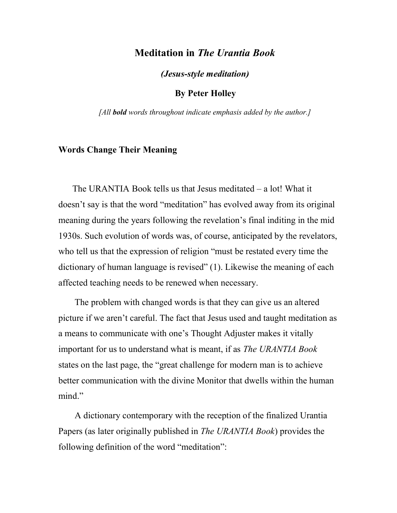# Meditation in The Urantia Book

(Jesus-style meditation)

By Peter Holley

[All **bold** words throughout indicate emphasis added by the author.]

# Words Change Their Meaning

The URANTIA Book tells us that Jesus meditated – a lot! What it doesn't say is that the word "meditation" has evolved away from its original meaning during the years following the revelation's final inditing in the mid 1930s. Such evolution of words was, of course, anticipated by the revelators, who tell us that the expression of religion "must be restated every time the dictionary of human language is revised" (1). Likewise the meaning of each affected teaching needs to be renewed when necessary.

 The problem with changed words is that they can give us an altered picture if we aren't careful. The fact that Jesus used and taught meditation as a means to communicate with one's Thought Adjuster makes it vitally important for us to understand what is meant, if as The URANTIA Book states on the last page, the "great challenge for modern man is to achieve better communication with the divine Monitor that dwells within the human mind."

 A dictionary contemporary with the reception of the finalized Urantia Papers (as later originally published in The URANTIA Book) provides the following definition of the word "meditation":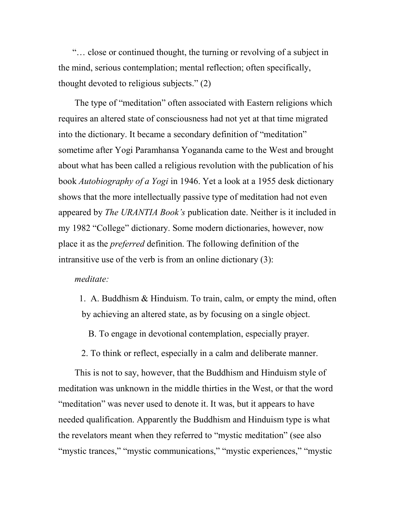"… close or continued thought, the turning or revolving of a subject in the mind, serious contemplation; mental reflection; often specifically, thought devoted to religious subjects." (2)

 The type of "meditation" often associated with Eastern religions which requires an altered state of consciousness had not yet at that time migrated into the dictionary. It became a secondary definition of "meditation" sometime after Yogi Paramhansa Yogananda came to the West and brought about what has been called a religious revolution with the publication of his book Autobiography of a Yogi in 1946. Yet a look at a 1955 desk dictionary shows that the more intellectually passive type of meditation had not even appeared by *The URANTIA Book's* publication date. Neither is it included in my 1982 "College" dictionary. Some modern dictionaries, however, now place it as the preferred definition. The following definition of the intransitive use of the verb is from an online dictionary (3):

# meditate:

 1. A. Buddhism & Hinduism. To train, calm, or empty the mind, often by achieving an altered state, as by focusing on a single object.

B. To engage in devotional contemplation, especially prayer.

2. To think or reflect, especially in a calm and deliberate manner.

 This is not to say, however, that the Buddhism and Hinduism style of meditation was unknown in the middle thirties in the West, or that the word "meditation" was never used to denote it. It was, but it appears to have needed qualification. Apparently the Buddhism and Hinduism type is what the revelators meant when they referred to "mystic meditation" (see also "mystic trances," "mystic communications," "mystic experiences," "mystic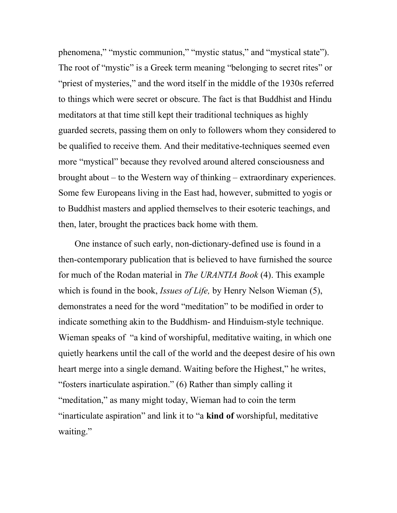phenomena," "mystic communion," "mystic status," and "mystical state"). The root of "mystic" is a Greek term meaning "belonging to secret rites" or "priest of mysteries," and the word itself in the middle of the 1930s referred to things which were secret or obscure. The fact is that Buddhist and Hindu meditators at that time still kept their traditional techniques as highly guarded secrets, passing them on only to followers whom they considered to be qualified to receive them. And their meditative-techniques seemed even more "mystical" because they revolved around altered consciousness and brought about – to the Western way of thinking – extraordinary experiences. Some few Europeans living in the East had, however, submitted to yogis or to Buddhist masters and applied themselves to their esoteric teachings, and then, later, brought the practices back home with them.

 One instance of such early, non-dictionary-defined use is found in a then-contemporary publication that is believed to have furnished the source for much of the Rodan material in The URANTIA Book (4). This example which is found in the book, *Issues of Life*, by Henry Nelson Wieman (5), demonstrates a need for the word "meditation" to be modified in order to indicate something akin to the Buddhism- and Hinduism-style technique. Wieman speaks of "a kind of worshipful, meditative waiting, in which one quietly hearkens until the call of the world and the deepest desire of his own heart merge into a single demand. Waiting before the Highest," he writes, "fosters inarticulate aspiration." (6) Rather than simply calling it "meditation," as many might today, Wieman had to coin the term "inarticulate aspiration" and link it to "a kind of worshipful, meditative waiting."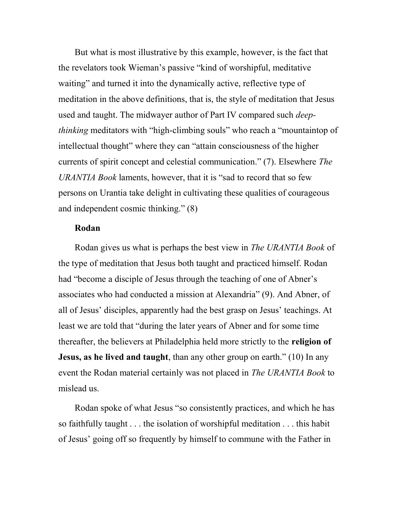But what is most illustrative by this example, however, is the fact that the revelators took Wieman's passive "kind of worshipful, meditative waiting" and turned it into the dynamically active, reflective type of meditation in the above definitions, that is, the style of meditation that Jesus used and taught. The midwayer author of Part IV compared such *deep*thinking meditators with "high-climbing souls" who reach a "mountaintop of intellectual thought" where they can "attain consciousness of the higher currents of spirit concept and celestial communication." (7). Elsewhere The URANTIA Book laments, however, that it is "sad to record that so few persons on Urantia take delight in cultivating these qualities of courageous and independent cosmic thinking." (8)

## Rodan

Rodan gives us what is perhaps the best view in The URANTIA Book of the type of meditation that Jesus both taught and practiced himself. Rodan had "become a disciple of Jesus through the teaching of one of Abner's associates who had conducted a mission at Alexandria" (9). And Abner, of all of Jesus' disciples, apparently had the best grasp on Jesus' teachings. At least we are told that "during the later years of Abner and for some time thereafter, the believers at Philadelphia held more strictly to the religion of **Jesus, as he lived and taught**, than any other group on earth." (10) In any event the Rodan material certainly was not placed in *The URANTIA Book* to mislead us.

 Rodan spoke of what Jesus "so consistently practices, and which he has so faithfully taught . . . the isolation of worshipful meditation . . . this habit of Jesus' going off so frequently by himself to commune with the Father in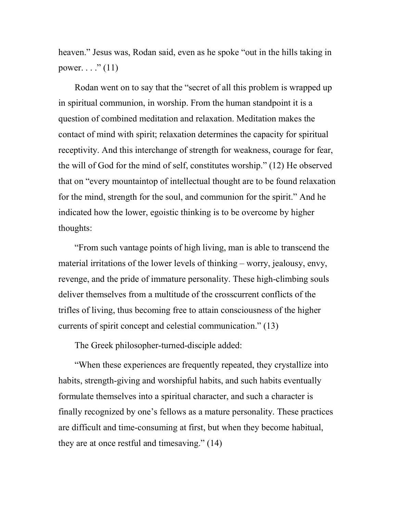heaven." Jesus was, Rodan said, even as he spoke "out in the hills taking in power.  $\ldots$ ." (11)

 Rodan went on to say that the "secret of all this problem is wrapped up in spiritual communion, in worship. From the human standpoint it is a question of combined meditation and relaxation. Meditation makes the contact of mind with spirit; relaxation determines the capacity for spiritual receptivity. And this interchange of strength for weakness, courage for fear, the will of God for the mind of self, constitutes worship." (12) He observed that on "every mountaintop of intellectual thought are to be found relaxation for the mind, strength for the soul, and communion for the spirit." And he indicated how the lower, egoistic thinking is to be overcome by higher thoughts:

 "From such vantage points of high living, man is able to transcend the material irritations of the lower levels of thinking – worry, jealousy, envy, revenge, and the pride of immature personality. These high-climbing souls deliver themselves from a multitude of the crosscurrent conflicts of the trifles of living, thus becoming free to attain consciousness of the higher currents of spirit concept and celestial communication." (13)

The Greek philosopher-turned-disciple added:

 "When these experiences are frequently repeated, they crystallize into habits, strength-giving and worshipful habits, and such habits eventually formulate themselves into a spiritual character, and such a character is finally recognized by one's fellows as a mature personality. These practices are difficult and time-consuming at first, but when they become habitual, they are at once restful and timesaving." (14)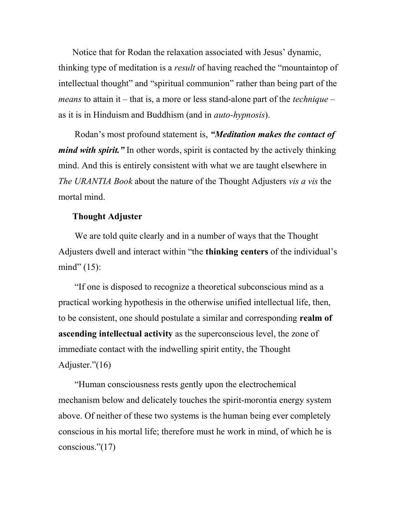Notice that for Rodan the relaxation associated with Jesus' dynamic, thinking type of meditation is a *result* of having reached the "mountaintop of intellectual thought" and "spiritual communion" rather than being part of the *means* to attain it – that is, a more or less stand-alone part of the *technique* – as it is in Hinduism and Buddhism (and in auto-hypnosis).

 Rodan's most profound statement is, "Meditation makes the contact of *mind with spirit.*" In other words, spirit is contacted by the actively thinking mind. And this is entirely consistent with what we are taught elsewhere in The URANTIA Book about the nature of the Thought Adjusters vis a vis the mortal mind.

#### Thought Adjuster

We are told quite clearly and in a number of ways that the Thought Adjusters dwell and interact within "the thinking centers of the individual's mind"  $(15)$ :

 "If one is disposed to recognize a theoretical subconscious mind as a practical working hypothesis in the otherwise unified intellectual life, then, to be consistent, one should postulate a similar and corresponding realm of ascending intellectual activity as the superconscious level, the zone of immediate contact with the indwelling spirit entity, the Thought Adjuster."(16)

 "Human consciousness rests gently upon the electrochemical mechanism below and delicately touches the spirit-morontia energy system above. Of neither of these two systems is the human being ever completely conscious in his mortal life; therefore must he work in mind, of which he is conscious."(17)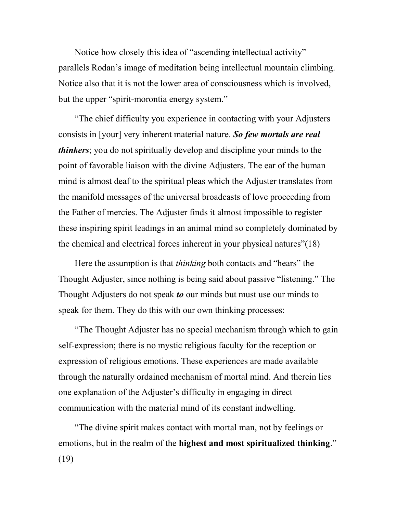Notice how closely this idea of "ascending intellectual activity" parallels Rodan's image of meditation being intellectual mountain climbing. Notice also that it is not the lower area of consciousness which is involved, but the upper "spirit-morontia energy system."

 "The chief difficulty you experience in contacting with your Adjusters consists in [your] very inherent material nature. So few mortals are real *thinkers*; you do not spiritually develop and discipline your minds to the point of favorable liaison with the divine Adjusters. The ear of the human mind is almost deaf to the spiritual pleas which the Adjuster translates from the manifold messages of the universal broadcasts of love proceeding from the Father of mercies. The Adjuster finds it almost impossible to register these inspiring spirit leadings in an animal mind so completely dominated by the chemical and electrical forces inherent in your physical natures"(18)

Here the assumption is that *thinking* both contacts and "hears" the Thought Adjuster, since nothing is being said about passive "listening." The Thought Adjusters do not speak to our minds but must use our minds to speak for them. They do this with our own thinking processes:

 "The Thought Adjuster has no special mechanism through which to gain self-expression; there is no mystic religious faculty for the reception or expression of religious emotions. These experiences are made available through the naturally ordained mechanism of mortal mind. And therein lies one explanation of the Adjuster's difficulty in engaging in direct communication with the material mind of its constant indwelling.

 "The divine spirit makes contact with mortal man, not by feelings or emotions, but in the realm of the highest and most spiritualized thinking." (19)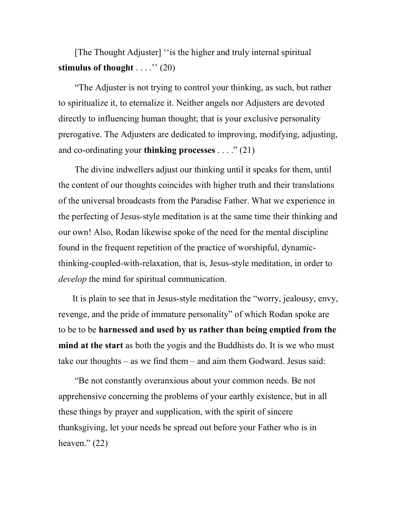# [The Thought Adjuster] ''is the higher and truly internal spiritual stimulus of thought  $\ldots$ .'' (20)

 "The Adjuster is not trying to control your thinking, as such, but rather to spiritualize it, to eternalize it. Neither angels nor Adjusters are devoted directly to influencing human thought; that is your exclusive personality prerogative. The Adjusters are dedicated to improving, modifying, adjusting, and co-ordinating your **thinking processes**  $\dots$  ." (21)

 The divine indwellers adjust our thinking until it speaks for them, until the content of our thoughts coincides with higher truth and their translations of the universal broadcasts from the Paradise Father. What we experience in the perfecting of Jesus-style meditation is at the same time their thinking and our own! Also, Rodan likewise spoke of the need for the mental discipline found in the frequent repetition of the practice of worshipful, dynamicthinking-coupled-with-relaxation, that is, Jesus-style meditation, in order to develop the mind for spiritual communication.

It is plain to see that in Jesus-style meditation the "worry, jealousy, envy, revenge, and the pride of immature personality" of which Rodan spoke are to be to be harnessed and used by us rather than being emptied from the mind at the start as both the yogis and the Buddhists do. It is we who must take our thoughts – as we find them – and aim them Godward. Jesus said:

 "Be not constantly overanxious about your common needs. Be not apprehensive concerning the problems of your earthly existence, but in all these things by prayer and supplication, with the spirit of sincere thanksgiving, let your needs be spread out before your Father who is in heaven." $(22)$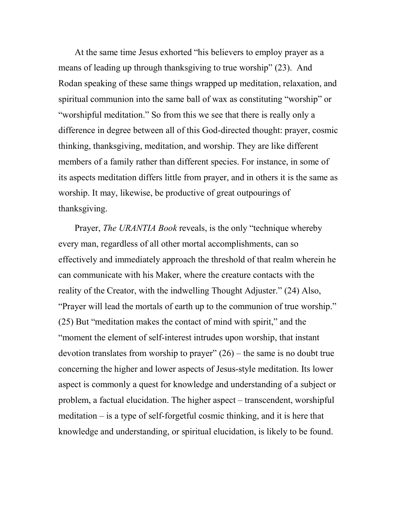At the same time Jesus exhorted "his believers to employ prayer as a means of leading up through thanksgiving to true worship" (23). And Rodan speaking of these same things wrapped up meditation, relaxation, and spiritual communion into the same ball of wax as constituting "worship" or "worshipful meditation." So from this we see that there is really only a difference in degree between all of this God-directed thought: prayer, cosmic thinking, thanksgiving, meditation, and worship. They are like different members of a family rather than different species. For instance, in some of its aspects meditation differs little from prayer, and in others it is the same as worship. It may, likewise, be productive of great outpourings of thanksgiving.

 Prayer, The URANTIA Book reveals, is the only "technique whereby every man, regardless of all other mortal accomplishments, can so effectively and immediately approach the threshold of that realm wherein he can communicate with his Maker, where the creature contacts with the reality of the Creator, with the indwelling Thought Adjuster." (24) Also, "Prayer will lead the mortals of earth up to the communion of true worship." (25) But "meditation makes the contact of mind with spirit," and the "moment the element of self-interest intrudes upon worship, that instant devotion translates from worship to prayer"  $(26)$  – the same is no doubt true concerning the higher and lower aspects of Jesus-style meditation. Its lower aspect is commonly a quest for knowledge and understanding of a subject or problem, a factual elucidation. The higher aspect – transcendent, worshipful meditation – is a type of self-forgetful cosmic thinking, and it is here that knowledge and understanding, or spiritual elucidation, is likely to be found.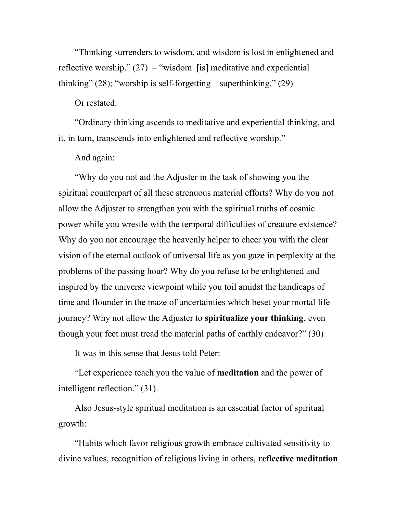"Thinking surrenders to wisdom, and wisdom is lost in enlightened and reflective worship."  $(27)$  – "wisdom [is] meditative and experiential thinking" (28); "worship is self-forgetting – superthinking." (29)

#### Or restated:

 "Ordinary thinking ascends to meditative and experiential thinking, and it, in turn, transcends into enlightened and reflective worship."

# And again:

 "Why do you not aid the Adjuster in the task of showing you the spiritual counterpart of all these strenuous material efforts? Why do you not allow the Adjuster to strengthen you with the spiritual truths of cosmic power while you wrestle with the temporal difficulties of creature existence? Why do you not encourage the heavenly helper to cheer you with the clear vision of the eternal outlook of universal life as you gaze in perplexity at the problems of the passing hour? Why do you refuse to be enlightened and inspired by the universe viewpoint while you toil amidst the handicaps of time and flounder in the maze of uncertainties which beset your mortal life journey? Why not allow the Adjuster to spiritualize your thinking, even though your feet must tread the material paths of earthly endeavor?" (30)

It was in this sense that Jesus told Peter:

 "Let experience teach you the value of meditation and the power of intelligent reflection." (31).

 Also Jesus-style spiritual meditation is an essential factor of spiritual growth:

 "Habits which favor religious growth embrace cultivated sensitivity to divine values, recognition of religious living in others, reflective meditation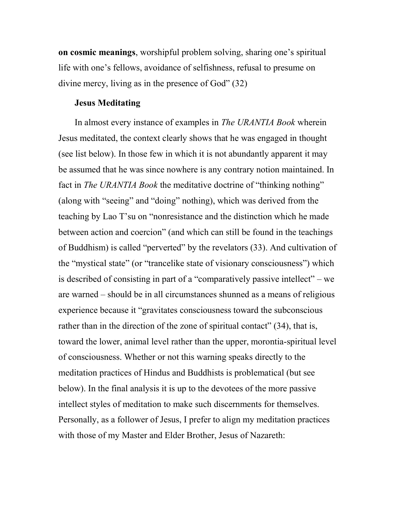on cosmic meanings, worshipful problem solving, sharing one's spiritual life with one's fellows, avoidance of selfishness, refusal to presume on divine mercy, living as in the presence of God" (32)

#### Jesus Meditating

In almost every instance of examples in The URANTIA Book wherein Jesus meditated, the context clearly shows that he was engaged in thought (see list below). In those few in which it is not abundantly apparent it may be assumed that he was since nowhere is any contrary notion maintained. In fact in *The URANTIA Book* the meditative doctrine of "thinking nothing" (along with "seeing" and "doing" nothing), which was derived from the teaching by Lao T'su on "nonresistance and the distinction which he made between action and coercion" (and which can still be found in the teachings of Buddhism) is called "perverted" by the revelators (33). And cultivation of the "mystical state" (or "trancelike state of visionary consciousness") which is described of consisting in part of a "comparatively passive intellect" – we are warned – should be in all circumstances shunned as a means of religious experience because it "gravitates consciousness toward the subconscious rather than in the direction of the zone of spiritual contact" (34), that is, toward the lower, animal level rather than the upper, morontia-spiritual level of consciousness. Whether or not this warning speaks directly to the meditation practices of Hindus and Buddhists is problematical (but see below). In the final analysis it is up to the devotees of the more passive intellect styles of meditation to make such discernments for themselves. Personally, as a follower of Jesus, I prefer to align my meditation practices with those of my Master and Elder Brother, Jesus of Nazareth: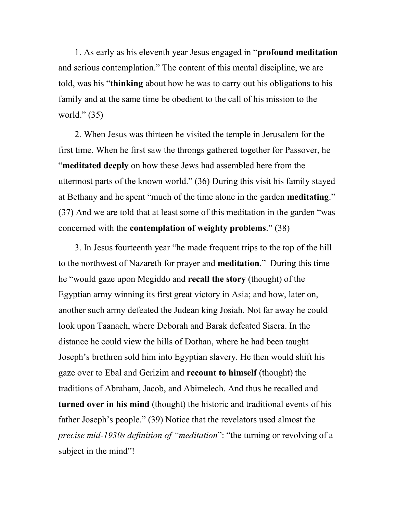1. As early as his eleventh year Jesus engaged in "profound meditation and serious contemplation." The content of this mental discipline, we are told, was his "thinking about how he was to carry out his obligations to his family and at the same time be obedient to the call of his mission to the world."  $(35)$ 

 2. When Jesus was thirteen he visited the temple in Jerusalem for the first time. When he first saw the throngs gathered together for Passover, he "meditated deeply on how these Jews had assembled here from the uttermost parts of the known world." (36) During this visit his family stayed at Bethany and he spent "much of the time alone in the garden meditating." (37) And we are told that at least some of this meditation in the garden "was concerned with the contemplation of weighty problems." (38)

 3. In Jesus fourteenth year "he made frequent trips to the top of the hill to the northwest of Nazareth for prayer and meditation." During this time he "would gaze upon Megiddo and recall the story (thought) of the Egyptian army winning its first great victory in Asia; and how, later on, another such army defeated the Judean king Josiah. Not far away he could look upon Taanach, where Deborah and Barak defeated Sisera. In the distance he could view the hills of Dothan, where he had been taught Joseph's brethren sold him into Egyptian slavery. He then would shift his gaze over to Ebal and Gerizim and recount to himself (thought) the traditions of Abraham, Jacob, and Abimelech. And thus he recalled and turned over in his mind (thought) the historic and traditional events of his father Joseph's people." (39) Notice that the revelators used almost the precise mid-1930s definition of "meditation": "the turning or revolving of a subject in the mind"!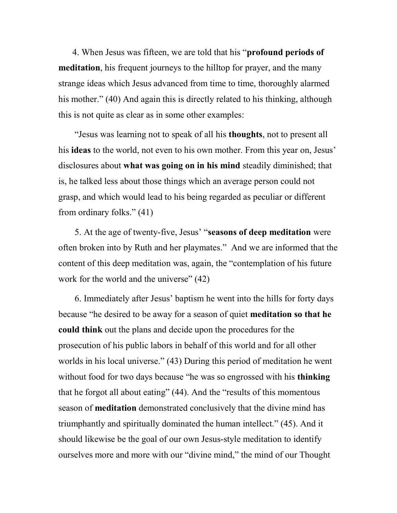4. When Jesus was fifteen, we are told that his "profound periods of meditation, his frequent journeys to the hilltop for prayer, and the many strange ideas which Jesus advanced from time to time, thoroughly alarmed his mother." (40) And again this is directly related to his thinking, although this is not quite as clear as in some other examples:

 "Jesus was learning not to speak of all his thoughts, not to present all his ideas to the world, not even to his own mother. From this year on, Jesus' disclosures about what was going on in his mind steadily diminished; that is, he talked less about those things which an average person could not grasp, and which would lead to his being regarded as peculiar or different from ordinary folks." (41)

 5. At the age of twenty-five, Jesus' "seasons of deep meditation were often broken into by Ruth and her playmates." And we are informed that the content of this deep meditation was, again, the "contemplation of his future work for the world and the universe" (42)

 6. Immediately after Jesus' baptism he went into the hills for forty days because "he desired to be away for a season of quiet meditation so that he could think out the plans and decide upon the procedures for the prosecution of his public labors in behalf of this world and for all other worlds in his local universe." (43) During this period of meditation he went without food for two days because "he was so engrossed with his **thinking** that he forgot all about eating" (44). And the "results of this momentous season of meditation demonstrated conclusively that the divine mind has triumphantly and spiritually dominated the human intellect." (45). And it should likewise be the goal of our own Jesus-style meditation to identify ourselves more and more with our "divine mind," the mind of our Thought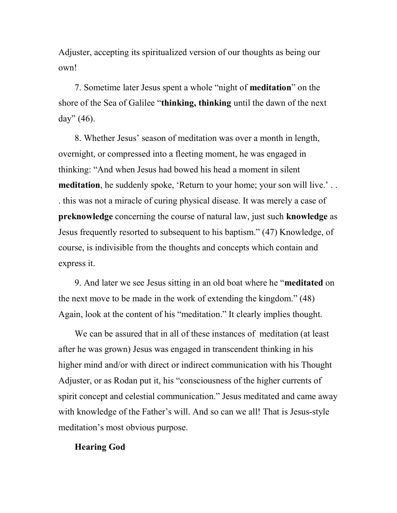Adjuster, accepting its spiritualized version of our thoughts as being our own!

 7. Sometime later Jesus spent a whole "night of meditation" on the shore of the Sea of Galilee "thinking, thinking until the dawn of the next day"  $(46)$ .

 8. Whether Jesus' season of meditation was over a month in length, overnight, or compressed into a fleeting moment, he was engaged in thinking: "And when Jesus had bowed his head a moment in silent meditation, he suddenly spoke, 'Return to your home; your son will live.'.. . this was not a miracle of curing physical disease. It was merely a case of preknowledge concerning the course of natural law, just such knowledge as Jesus frequently resorted to subsequent to his baptism." (47) Knowledge, of course, is indivisible from the thoughts and concepts which contain and express it.

 9. And later we see Jesus sitting in an old boat where he "meditated on the next move to be made in the work of extending the kingdom." (48) Again, look at the content of his "meditation." It clearly implies thought.

 We can be assured that in all of these instances of meditation (at least after he was grown) Jesus was engaged in transcendent thinking in his higher mind and/or with direct or indirect communication with his Thought Adjuster, or as Rodan put it, his "consciousness of the higher currents of spirit concept and celestial communication." Jesus meditated and came away with knowledge of the Father's will. And so can we all! That is Jesus-style meditation's most obvious purpose.

## Hearing God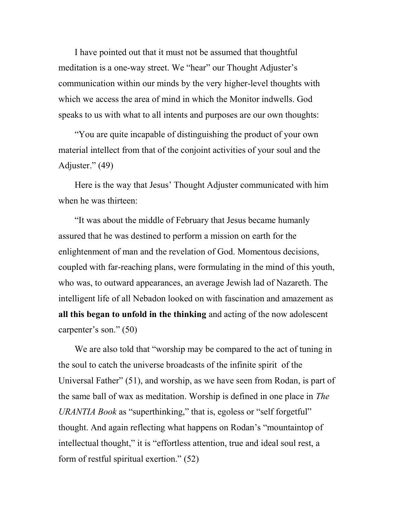I have pointed out that it must not be assumed that thoughtful meditation is a one-way street. We "hear" our Thought Adjuster's communication within our minds by the very higher-level thoughts with which we access the area of mind in which the Monitor indwells. God speaks to us with what to all intents and purposes are our own thoughts:

 "You are quite incapable of distinguishing the product of your own material intellect from that of the conjoint activities of your soul and the Adjuster." (49)

 Here is the way that Jesus' Thought Adjuster communicated with him when he was thirteen:

 "It was about the middle of February that Jesus became humanly assured that he was destined to perform a mission on earth for the enlightenment of man and the revelation of God. Momentous decisions, coupled with far-reaching plans, were formulating in the mind of this youth, who was, to outward appearances, an average Jewish lad of Nazareth. The intelligent life of all Nebadon looked on with fascination and amazement as all this began to unfold in the thinking and acting of the now adolescent carpenter's son." (50)

 We are also told that "worship may be compared to the act of tuning in the soul to catch the universe broadcasts of the infinite spirit of the Universal Father" (51), and worship, as we have seen from Rodan, is part of the same ball of wax as meditation. Worship is defined in one place in The URANTIA Book as "superthinking," that is, egoless or "self forgetful" thought. And again reflecting what happens on Rodan's "mountaintop of intellectual thought," it is "effortless attention, true and ideal soul rest, a form of restful spiritual exertion." (52)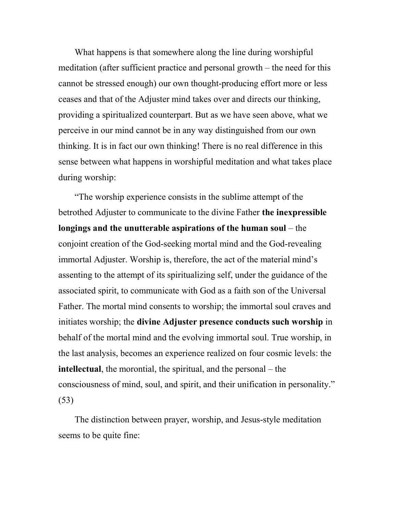What happens is that somewhere along the line during worshipful meditation (after sufficient practice and personal growth – the need for this cannot be stressed enough) our own thought-producing effort more or less ceases and that of the Adjuster mind takes over and directs our thinking, providing a spiritualized counterpart. But as we have seen above, what we perceive in our mind cannot be in any way distinguished from our own thinking. It is in fact our own thinking! There is no real difference in this sense between what happens in worshipful meditation and what takes place during worship:

 "The worship experience consists in the sublime attempt of the betrothed Adjuster to communicate to the divine Father the inexpressible longings and the unutterable aspirations of the human soul – the conjoint creation of the God-seeking mortal mind and the God-revealing immortal Adjuster. Worship is, therefore, the act of the material mind's assenting to the attempt of its spiritualizing self, under the guidance of the associated spirit, to communicate with God as a faith son of the Universal Father. The mortal mind consents to worship; the immortal soul craves and initiates worship; the divine Adjuster presence conducts such worship in behalf of the mortal mind and the evolving immortal soul. True worship, in the last analysis, becomes an experience realized on four cosmic levels: the intellectual, the morontial, the spiritual, and the personal – the consciousness of mind, soul, and spirit, and their unification in personality." (53)

 The distinction between prayer, worship, and Jesus-style meditation seems to be quite fine: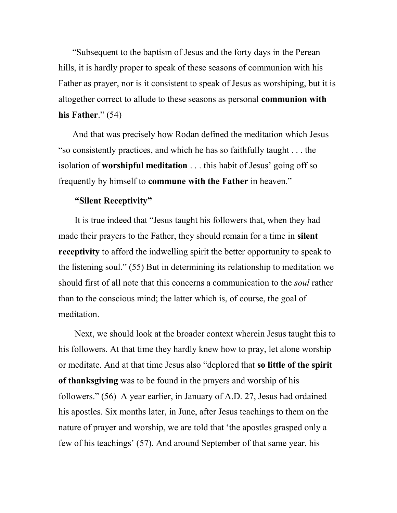"Subsequent to the baptism of Jesus and the forty days in the Perean hills, it is hardly proper to speak of these seasons of communion with his Father as prayer, nor is it consistent to speak of Jesus as worshiping, but it is altogether correct to allude to these seasons as personal communion with his Father." (54)

And that was precisely how Rodan defined the meditation which Jesus "so consistently practices, and which he has so faithfully taught . . . the isolation of worshipful meditation . . . this habit of Jesus' going off so frequently by himself to commune with the Father in heaven."

# "Silent Receptivity"

 It is true indeed that "Jesus taught his followers that, when they had made their prayers to the Father, they should remain for a time in silent receptivity to afford the indwelling spirit the better opportunity to speak to the listening soul." (55) But in determining its relationship to meditation we should first of all note that this concerns a communication to the *soul* rather than to the conscious mind; the latter which is, of course, the goal of meditation.

 Next, we should look at the broader context wherein Jesus taught this to his followers. At that time they hardly knew how to pray, let alone worship or meditate. And at that time Jesus also "deplored that so little of the spirit of thanksgiving was to be found in the prayers and worship of his followers." (56) A year earlier, in January of A.D. 27, Jesus had ordained his apostles. Six months later, in June, after Jesus teachings to them on the nature of prayer and worship, we are told that 'the apostles grasped only a few of his teachings' (57). And around September of that same year, his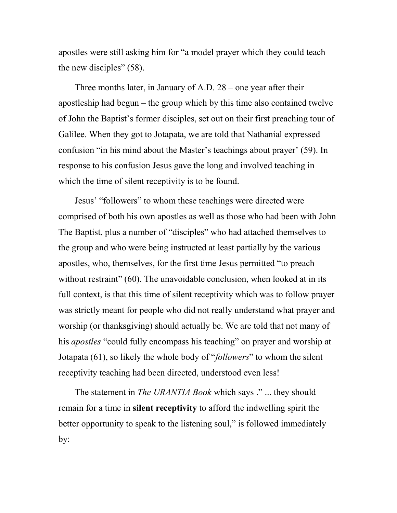apostles were still asking him for "a model prayer which they could teach the new disciples" (58).

 Three months later, in January of A.D. 28 – one year after their apostleship had begun – the group which by this time also contained twelve of John the Baptist's former disciples, set out on their first preaching tour of Galilee. When they got to Jotapata, we are told that Nathanial expressed confusion "in his mind about the Master's teachings about prayer' (59). In response to his confusion Jesus gave the long and involved teaching in which the time of silent receptivity is to be found.

 Jesus' "followers" to whom these teachings were directed were comprised of both his own apostles as well as those who had been with John The Baptist, plus a number of "disciples" who had attached themselves to the group and who were being instructed at least partially by the various apostles, who, themselves, for the first time Jesus permitted "to preach without restraint" (60). The unavoidable conclusion, when looked at in its full context, is that this time of silent receptivity which was to follow prayer was strictly meant for people who did not really understand what prayer and worship (or thanksgiving) should actually be. We are told that not many of his *apostles* "could fully encompass his teaching" on prayer and worship at Jotapata (61), so likely the whole body of "followers" to whom the silent receptivity teaching had been directed, understood even less!

The statement in *The URANTIA Book* which says ." ... they should remain for a time in **silent receptivity** to afford the indwelling spirit the better opportunity to speak to the listening soul," is followed immediately by: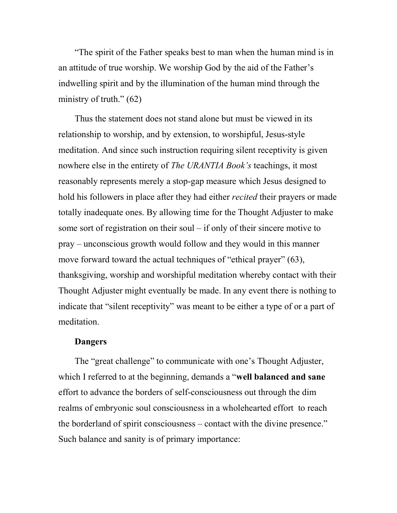"The spirit of the Father speaks best to man when the human mind is in an attitude of true worship. We worship God by the aid of the Father's indwelling spirit and by the illumination of the human mind through the ministry of truth."  $(62)$ 

 Thus the statement does not stand alone but must be viewed in its relationship to worship, and by extension, to worshipful, Jesus-style meditation. And since such instruction requiring silent receptivity is given nowhere else in the entirety of The URANTIA Book's teachings, it most reasonably represents merely a stop-gap measure which Jesus designed to hold his followers in place after they had either *recited* their prayers or made totally inadequate ones. By allowing time for the Thought Adjuster to make some sort of registration on their soul – if only of their sincere motive to pray – unconscious growth would follow and they would in this manner move forward toward the actual techniques of "ethical prayer" (63), thanksgiving, worship and worshipful meditation whereby contact with their Thought Adjuster might eventually be made. In any event there is nothing to indicate that "silent receptivity" was meant to be either a type of or a part of meditation.

#### Dangers

 The "great challenge" to communicate with one's Thought Adjuster, which I referred to at the beginning, demands a "well balanced and sane" effort to advance the borders of self-consciousness out through the dim realms of embryonic soul consciousness in a wholehearted effort to reach the borderland of spirit consciousness – contact with the divine presence." Such balance and sanity is of primary importance: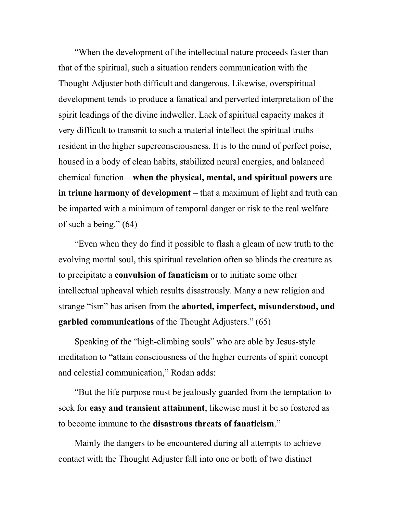"When the development of the intellectual nature proceeds faster than that of the spiritual, such a situation renders communication with the Thought Adjuster both difficult and dangerous. Likewise, overspiritual development tends to produce a fanatical and perverted interpretation of the spirit leadings of the divine indweller. Lack of spiritual capacity makes it very difficult to transmit to such a material intellect the spiritual truths resident in the higher superconsciousness. It is to the mind of perfect poise, housed in a body of clean habits, stabilized neural energies, and balanced chemical function – when the physical, mental, and spiritual powers are in triune harmony of development – that a maximum of light and truth can be imparted with a minimum of temporal danger or risk to the real welfare of such a being." (64)

 "Even when they do find it possible to flash a gleam of new truth to the evolving mortal soul, this spiritual revelation often so blinds the creature as to precipitate a convulsion of fanaticism or to initiate some other intellectual upheaval which results disastrously. Many a new religion and strange "ism" has arisen from the aborted, imperfect, misunderstood, and garbled communications of the Thought Adjusters." (65)

 Speaking of the "high-climbing souls" who are able by Jesus-style meditation to "attain consciousness of the higher currents of spirit concept and celestial communication," Rodan adds:

 "But the life purpose must be jealously guarded from the temptation to seek for easy and transient attainment; likewise must it be so fostered as to become immune to the disastrous threats of fanaticism."

 Mainly the dangers to be encountered during all attempts to achieve contact with the Thought Adjuster fall into one or both of two distinct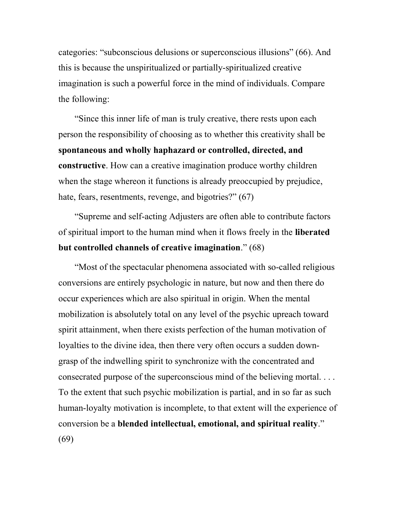categories: "subconscious delusions or superconscious illusions" (66). And this is because the unspiritualized or partially-spiritualized creative imagination is such a powerful force in the mind of individuals. Compare the following:

 "Since this inner life of man is truly creative, there rests upon each person the responsibility of choosing as to whether this creativity shall be spontaneous and wholly haphazard or controlled, directed, and constructive. How can a creative imagination produce worthy children when the stage whereon it functions is already preoccupied by prejudice, hate, fears, resentments, revenge, and bigotries?" (67)

 "Supreme and self-acting Adjusters are often able to contribute factors of spiritual import to the human mind when it flows freely in the liberated but controlled channels of creative imagination." (68)

 "Most of the spectacular phenomena associated with so-called religious conversions are entirely psychologic in nature, but now and then there do occur experiences which are also spiritual in origin. When the mental mobilization is absolutely total on any level of the psychic upreach toward spirit attainment, when there exists perfection of the human motivation of loyalties to the divine idea, then there very often occurs a sudden downgrasp of the indwelling spirit to synchronize with the concentrated and consecrated purpose of the superconscious mind of the believing mortal. . . . To the extent that such psychic mobilization is partial, and in so far as such human-loyalty motivation is incomplete, to that extent will the experience of conversion be a blended intellectual, emotional, and spiritual reality." (69)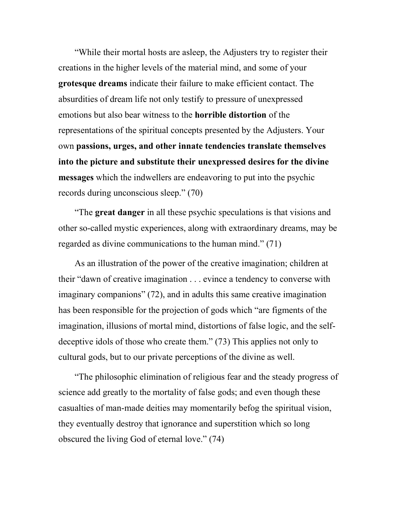"While their mortal hosts are asleep, the Adjusters try to register their creations in the higher levels of the material mind, and some of your grotesque dreams indicate their failure to make efficient contact. The absurdities of dream life not only testify to pressure of unexpressed emotions but also bear witness to the horrible distortion of the representations of the spiritual concepts presented by the Adjusters. Your own passions, urges, and other innate tendencies translate themselves into the picture and substitute their unexpressed desires for the divine messages which the indwellers are endeavoring to put into the psychic records during unconscious sleep." (70)

 "The great danger in all these psychic speculations is that visions and other so-called mystic experiences, along with extraordinary dreams, may be regarded as divine communications to the human mind." (71)

 As an illustration of the power of the creative imagination; children at their "dawn of creative imagination . . . evince a tendency to converse with imaginary companions" (72), and in adults this same creative imagination has been responsible for the projection of gods which "are figments of the imagination, illusions of mortal mind, distortions of false logic, and the selfdeceptive idols of those who create them." (73) This applies not only to cultural gods, but to our private perceptions of the divine as well.

 "The philosophic elimination of religious fear and the steady progress of science add greatly to the mortality of false gods; and even though these casualties of man-made deities may momentarily befog the spiritual vision, they eventually destroy that ignorance and superstition which so long obscured the living God of eternal love." (74)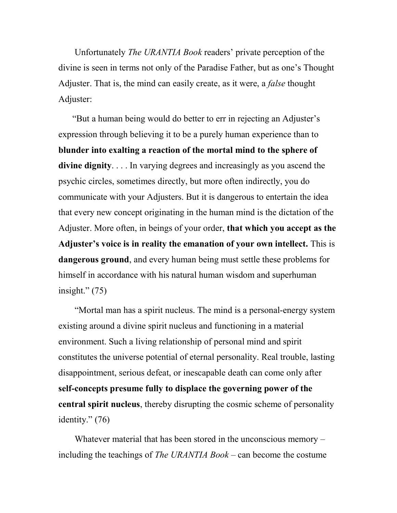Unfortunately The URANTIA Book readers' private perception of the divine is seen in terms not only of the Paradise Father, but as one's Thought Adjuster. That is, the mind can easily create, as it were, a false thought Adjuster:

"But a human being would do better to err in rejecting an Adjuster's expression through believing it to be a purely human experience than to blunder into exalting a reaction of the mortal mind to the sphere of divine dignity. . . . In varying degrees and increasingly as you ascend the psychic circles, sometimes directly, but more often indirectly, you do communicate with your Adjusters. But it is dangerous to entertain the idea that every new concept originating in the human mind is the dictation of the Adjuster. More often, in beings of your order, that which you accept as the Adjuster's voice is in reality the emanation of your own intellect. This is dangerous ground, and every human being must settle these problems for himself in accordance with his natural human wisdom and superhuman insight." $(75)$ 

 "Mortal man has a spirit nucleus. The mind is a personal-energy system existing around a divine spirit nucleus and functioning in a material environment. Such a living relationship of personal mind and spirit constitutes the universe potential of eternal personality. Real trouble, lasting disappointment, serious defeat, or inescapable death can come only after self-concepts presume fully to displace the governing power of the central spirit nucleus, thereby disrupting the cosmic scheme of personality identity." (76)

Whatever material that has been stored in the unconscious memory – including the teachings of The URANTIA Book – can become the costume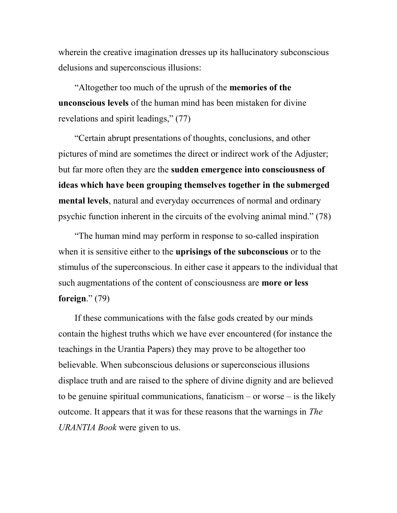wherein the creative imagination dresses up its hallucinatory subconscious delusions and superconscious illusions:

 "Altogether too much of the uprush of the memories of the unconscious levels of the human mind has been mistaken for divine revelations and spirit leadings," (77)

 "Certain abrupt presentations of thoughts, conclusions, and other pictures of mind are sometimes the direct or indirect work of the Adjuster; but far more often they are the sudden emergence into consciousness of ideas which have been grouping themselves together in the submerged mental levels, natural and everyday occurrences of normal and ordinary psychic function inherent in the circuits of the evolving animal mind." (78)

 "The human mind may perform in response to so-called inspiration when it is sensitive either to the uprisings of the subconscious or to the stimulus of the superconscious. In either case it appears to the individual that such augmentations of the content of consciousness are **more or less** foreign." $(79)$ 

 If these communications with the false gods created by our minds contain the highest truths which we have ever encountered (for instance the teachings in the Urantia Papers) they may prove to be altogether too believable. When subconscious delusions or superconscious illusions displace truth and are raised to the sphere of divine dignity and are believed to be genuine spiritual communications, fanaticism  $-$  or worse  $-$  is the likely outcome. It appears that it was for these reasons that the warnings in The URANTIA Book were given to us.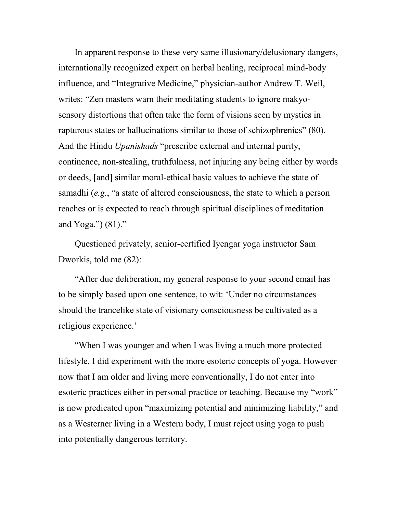In apparent response to these very same illusionary/delusionary dangers, internationally recognized expert on herbal healing, reciprocal mind-body influence, and "Integrative Medicine," physician-author Andrew T. Weil, writes: "Zen masters warn their meditating students to ignore makyosensory distortions that often take the form of visions seen by mystics in rapturous states or hallucinations similar to those of schizophrenics" (80). And the Hindu *Upanishads* "prescribe external and internal purity, continence, non-stealing, truthfulness, not injuring any being either by words or deeds, [and] similar moral-ethical basic values to achieve the state of samadhi (e.g., "a state of altered consciousness, the state to which a person reaches or is expected to reach through spiritual disciplines of meditation and Yoga.") (81)."

 Questioned privately, senior-certified Iyengar yoga instructor Sam Dworkis, told me (82):

 "After due deliberation, my general response to your second email has to be simply based upon one sentence, to wit: 'Under no circumstances should the trancelike state of visionary consciousness be cultivated as a religious experience.'

 "When I was younger and when I was living a much more protected lifestyle, I did experiment with the more esoteric concepts of yoga. However now that I am older and living more conventionally, I do not enter into esoteric practices either in personal practice or teaching. Because my "work" is now predicated upon "maximizing potential and minimizing liability," and as a Westerner living in a Western body, I must reject using yoga to push into potentially dangerous territory.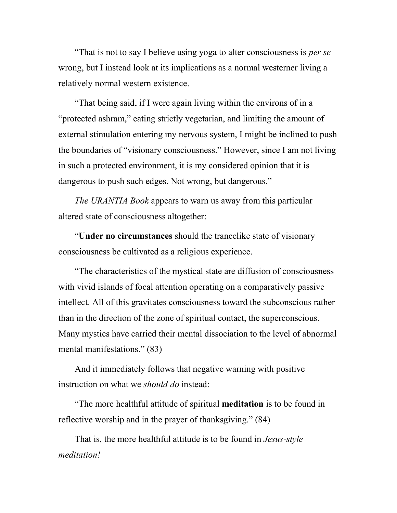"That is not to say I believe using yoga to alter consciousness is *per se* wrong, but I instead look at its implications as a normal westerner living a relatively normal western existence.

 "That being said, if I were again living within the environs of in a "protected ashram," eating strictly vegetarian, and limiting the amount of external stimulation entering my nervous system, I might be inclined to push the boundaries of "visionary consciousness." However, since I am not living in such a protected environment, it is my considered opinion that it is dangerous to push such edges. Not wrong, but dangerous."

The URANTIA Book appears to warn us away from this particular altered state of consciousness altogether:

 "Under no circumstances should the trancelike state of visionary consciousness be cultivated as a religious experience.

 "The characteristics of the mystical state are diffusion of consciousness with vivid islands of focal attention operating on a comparatively passive intellect. All of this gravitates consciousness toward the subconscious rather than in the direction of the zone of spiritual contact, the superconscious. Many mystics have carried their mental dissociation to the level of abnormal mental manifestations." (83)

 And it immediately follows that negative warning with positive instruction on what we *should do* instead:

 "The more healthful attitude of spiritual meditation is to be found in reflective worship and in the prayer of thanksgiving." (84)

 That is, the more healthful attitude is to be found in Jesus-style meditation!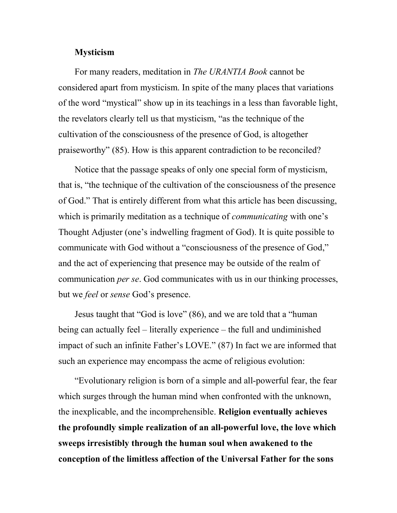#### Mysticism

For many readers, meditation in The URANTIA Book cannot be considered apart from mysticism. In spite of the many places that variations of the word "mystical" show up in its teachings in a less than favorable light, the revelators clearly tell us that mysticism, "as the technique of the cultivation of the consciousness of the presence of God, is altogether praiseworthy" (85). How is this apparent contradiction to be reconciled?

 Notice that the passage speaks of only one special form of mysticism, that is, "the technique of the cultivation of the consciousness of the presence of God." That is entirely different from what this article has been discussing, which is primarily meditation as a technique of *communicating* with one's Thought Adjuster (one's indwelling fragment of God). It is quite possible to communicate with God without a "consciousness of the presence of God," and the act of experiencing that presence may be outside of the realm of communication per se. God communicates with us in our thinking processes, but we *feel* or *sense* God's presence.

 Jesus taught that "God is love" (86), and we are told that a "human being can actually feel – literally experience – the full and undiminished impact of such an infinite Father's LOVE." (87) In fact we are informed that such an experience may encompass the acme of religious evolution:

 "Evolutionary religion is born of a simple and all-powerful fear, the fear which surges through the human mind when confronted with the unknown, the inexplicable, and the incomprehensible. Religion eventually achieves the profoundly simple realization of an all-powerful love, the love which sweeps irresistibly through the human soul when awakened to the conception of the limitless affection of the Universal Father for the sons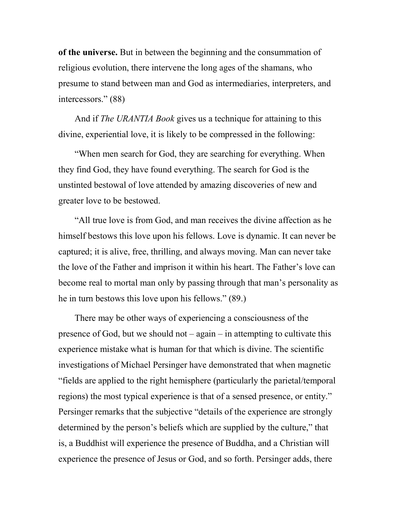of the universe. But in between the beginning and the consummation of religious evolution, there intervene the long ages of the shamans, who presume to stand between man and God as intermediaries, interpreters, and intercessors." (88)

 And if The URANTIA Book gives us a technique for attaining to this divine, experiential love, it is likely to be compressed in the following:

 "When men search for God, they are searching for everything. When they find God, they have found everything. The search for God is the unstinted bestowal of love attended by amazing discoveries of new and greater love to be bestowed.

 "All true love is from God, and man receives the divine affection as he himself bestows this love upon his fellows. Love is dynamic. It can never be captured; it is alive, free, thrilling, and always moving. Man can never take the love of the Father and imprison it within his heart. The Father's love can become real to mortal man only by passing through that man's personality as he in turn bestows this love upon his fellows." (89.)

 There may be other ways of experiencing a consciousness of the presence of God, but we should not – again – in attempting to cultivate this experience mistake what is human for that which is divine. The scientific investigations of Michael Persinger have demonstrated that when magnetic "fields are applied to the right hemisphere (particularly the parietal/temporal regions) the most typical experience is that of a sensed presence, or entity." Persinger remarks that the subjective "details of the experience are strongly determined by the person's beliefs which are supplied by the culture," that is, a Buddhist will experience the presence of Buddha, and a Christian will experience the presence of Jesus or God, and so forth. Persinger adds, there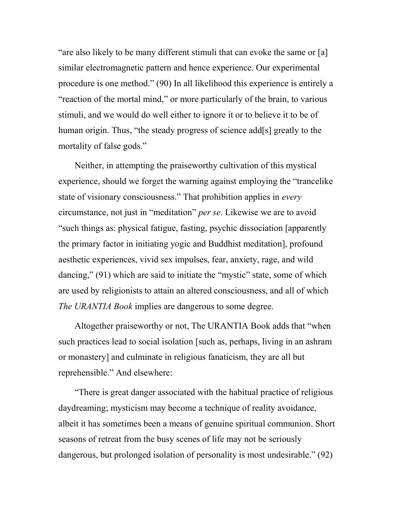"are also likely to be many different stimuli that can evoke the same or [a] similar electromagnetic pattern and hence experience. Our experimental procedure is one method." (90) In all likelihood this experience is entirely a "reaction of the mortal mind," or more particularly of the brain, to various stimuli, and we would do well either to ignore it or to believe it to be of human origin. Thus, "the steady progress of science add[s] greatly to the mortality of false gods."

 Neither, in attempting the praiseworthy cultivation of this mystical experience, should we forget the warning against employing the "trancelike state of visionary consciousness." That prohibition applies in *every* circumstance, not just in "meditation" per se. Likewise we are to avoid "such things as: physical fatigue, fasting, psychic dissociation [apparently the primary factor in initiating yogic and Buddhist meditation], profound aesthetic experiences, vivid sex impulses, fear, anxiety, rage, and wild dancing," (91) which are said to initiate the "mystic" state, some of which are used by religionists to attain an altered consciousness, and all of which The URANTIA Book implies are dangerous to some degree.

 Altogether praiseworthy or not, The URANTIA Book adds that "when such practices lead to social isolation [such as, perhaps, living in an ashram or monastery] and culminate in religious fanaticism, they are all but reprehensible." And elsewhere:

 "There is great danger associated with the habitual practice of religious daydreaming; mysticism may become a technique of reality avoidance, albeit it has sometimes been a means of genuine spiritual communion. Short seasons of retreat from the busy scenes of life may not be seriously dangerous, but prolonged isolation of personality is most undesirable." (92)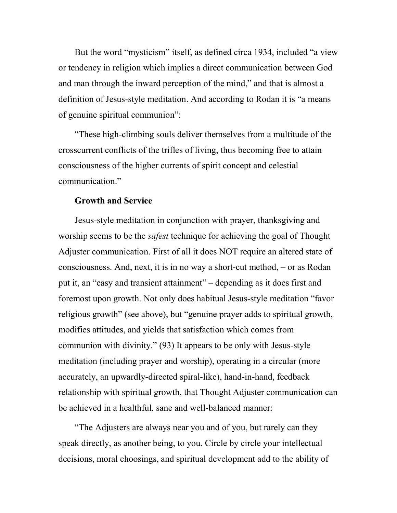But the word "mysticism" itself, as defined circa 1934, included "a view or tendency in religion which implies a direct communication between God and man through the inward perception of the mind," and that is almost a definition of Jesus-style meditation. And according to Rodan it is "a means of genuine spiritual communion":

 "These high-climbing souls deliver themselves from a multitude of the crosscurrent conflicts of the trifles of living, thus becoming free to attain consciousness of the higher currents of spirit concept and celestial communication."

# Growth and Service

 Jesus-style meditation in conjunction with prayer, thanksgiving and worship seems to be the *safest* technique for achieving the goal of Thought Adjuster communication. First of all it does NOT require an altered state of consciousness. And, next, it is in no way a short-cut method, – or as Rodan put it, an "easy and transient attainment" – depending as it does first and foremost upon growth. Not only does habitual Jesus-style meditation "favor religious growth" (see above), but "genuine prayer adds to spiritual growth, modifies attitudes, and yields that satisfaction which comes from communion with divinity." (93) It appears to be only with Jesus-style meditation (including prayer and worship), operating in a circular (more accurately, an upwardly-directed spiral-like), hand-in-hand, feedback relationship with spiritual growth, that Thought Adjuster communication can be achieved in a healthful, sane and well-balanced manner:

 "The Adjusters are always near you and of you, but rarely can they speak directly, as another being, to you. Circle by circle your intellectual decisions, moral choosings, and spiritual development add to the ability of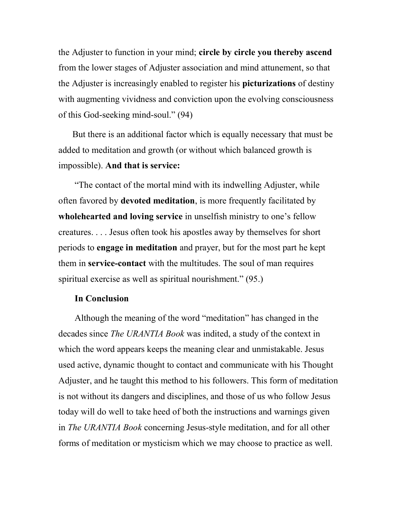the Adjuster to function in your mind; circle by circle you thereby ascend from the lower stages of Adjuster association and mind attunement, so that the Adjuster is increasingly enabled to register his picturizations of destiny with augmenting vividness and conviction upon the evolving consciousness of this God-seeking mind-soul." (94)

But there is an additional factor which is equally necessary that must be added to meditation and growth (or without which balanced growth is impossible). And that is service:

 "The contact of the mortal mind with its indwelling Adjuster, while often favored by **devoted meditation**, is more frequently facilitated by wholehearted and loving service in unselfish ministry to one's fellow creatures. . . . Jesus often took his apostles away by themselves for short periods to engage in meditation and prayer, but for the most part he kept them in service-contact with the multitudes. The soul of man requires spiritual exercise as well as spiritual nourishment." (95.)

#### In Conclusion

 Although the meaning of the word "meditation" has changed in the decades since The URANTIA Book was indited, a study of the context in which the word appears keeps the meaning clear and unmistakable. Jesus used active, dynamic thought to contact and communicate with his Thought Adjuster, and he taught this method to his followers. This form of meditation is not without its dangers and disciplines, and those of us who follow Jesus today will do well to take heed of both the instructions and warnings given in The URANTIA Book concerning Jesus-style meditation, and for all other forms of meditation or mysticism which we may choose to practice as well.